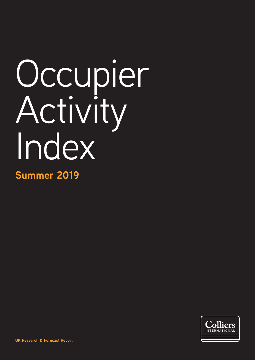# Occupier Activity Index

**Summer 2019**

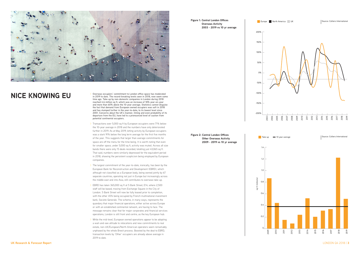

- **NICE KNOWING EU** <br> **ISPONSERVING PRESENT AND A POSTAGE ARE PECORD** In 2019 to date. The record-breaking levels seen in 2018, now seem som **in 2019 to date. The record-breaking levels seen in 2018, now seem some time ago. Take-up by non-domestic companies in London during 2018 reached 4.6 million sq ft, which was an increase of 18% year-on-year and more than 60% above the 10-year average. Statistics cannot disguise the fact that demand from European owned occupiers was soft in 2018 and has slumped further in the year-to-date, to its lowest level since 2001. Concerns about the UK's manner, timing and even probability of its departure from the EU, have led to a pronounced level of caution from potential continental occupiers.** 
	- > Transactions over 5,000 sq ft by European occupiers were 71% below the 10-year average in 2018 and the numbers have only deteriorated further in 2019. As at May 2019, letting activity by European occupiers was a stark 91% below the long term average for the first five months of the year. This suggests that larger than average commitments for space are off the menu for the time being. It is worth noting that even for smaller space, under 5,000 sq ft, activity was muted. Across all size bands there were only 15 deals recorded, totalling just 43,065 sq ft. That said, numbers were similarly depressed for the equivalent period in 2018, showing the persistent scepticism being employed by European companies.
	- > The largest commitment of the year-to-date, ironically, has been by the European Bank for Reconstruction and Development (EBRD), which although not classified as a European body, being owned jointly by 67 separate countries, operating not just in Europe but increasingly across the middle east and into Asia, still contributes to overseas take-up.
	- > EBRD has taken 365,000 sq ft at 5 Bank Street, E14, where 2,500 staff will be based, moving from Exchange Square in the City of London. 5 Bank Street will now be fully leased prior to completion, with the other 45% being occupied by French multinational investment bank, Societe Generale. The scheme, in many ways, represents the quandary that major financial operations, either active across Europe or with an established continental network, are having to face. The message remains clear that for major corporates and financial services operations, London is still front and centre, as the key European hub.
	- > While the mid-level, European owned operations appear to be adopting a wait-and-see attitude to relocations and new commitments to real estate, non-UK/European/North American operators seem remarkably unphased by the whole Brexit process. Boosted by the deal to EBRD, transaction levels by 'Other' occupiers are already above average in 2019 to date.

#### **Figure 1: Central London Offices Overseas Activity 2003 - 2019 vs 10 yr average**

**Figure 2: Central London Offices** 

**Other Overseas Activity 2009 - 2019 vs 10 yr average**



Take-up = 10 year average



Source: Colliers International

## 1.4 1.2 1.0 sq ft (millions) 0.8 ਹੁ 0.6 0.4  $0.2$ 0 2009

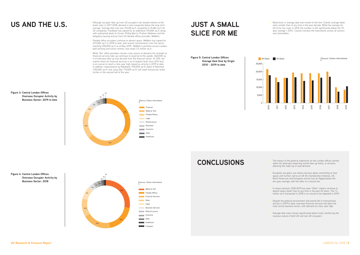- **US AND THE U.S.** Although occupier take-up from US occupiers has slowed relative to the levels seen in 2017-2018, demand is only marginally below the long-term levels seen in 2017-2018, demand is only marginally below the long-term average. Average deal size was 19,228 sq ft, compared to 15,384 sq ft for UK companies. Facebook has signed for an additional 145,000 sq ft, along with substantial deals to Cinven, Phillip Morris, Product Madness and the obligatory leasing activity from US flexible offices provider, WeWork.
	- Flexible office occupiers continue to absorb space. WeWork has signed for 227,000 sq ft in 2019 to date, with overall commitments from the sector reaching 400,000 sq ft as at May 2019. WeWork's portfolio across London, both existing and future centres, now totals 3.5 million sq ft.
	- > While 'flex' office providers remain a key source of demand, the strength of financial services take-up continues to surprise to the upside. 460,000 sq ft of overseas take-up was derived from the financial sector. At 33%, the market share for financial services is at its highest level since 2015 and is on course to reach a nine-year high, based on activity in 2019 to date. In addition, requirements by Rabobank (150,000 sq ft), Bank of Montreal (100,000 sq ft) and Julius Bar (70,000 sq ft) will swell transaction levels further in the second half of the year.

> Reductions in average deal size remain to the fore. Overall, average deals were smaller than at any time in the past decade. While the average for UK firms has risen in 2019, the number is still significantly below the 10year average (-25%). Caution remains the watchword, across all sectors and nationalities.

**CONCLUSIONS** > The impact of the political maelstrom on the London offices market, while not adversely impacting overall take-up levels, is certainly affecting the make-up of said demand.

### **Figure 3: Central London Offices Overseas Occupier Activity by Business Sector: 2019 to date**

European occupiers are clearly nervous about committing to new space until further clarity on UK EU membership timelines. UK, North American and European activity has all slipped below the ten-year average, with the latter at a record low.



In sharp contrast, 2018-2019 has seen 'Other' nations continue to absorb space faster than at any time in the past 20 years. The 1.2 million sq ft transacted in 2018 is on course to be repeated in 2019.

**Figure 4: Central London Offices Overseas Occupier Activity by** 

> Average deal sizes remain significantly below trend, reinforcing the cautious nature of both UK and non-UK occupiers



## **JUST A SMALL SLICE FOR ME**

**Figure 5: Central London Offices Average Deal Size by Origin 2010 - 2019 to date** 





> Despite the political environment and overall fall in transactional activity in 2019 to date, overseas financial services has been the most active business sector, with demand at a four year high.